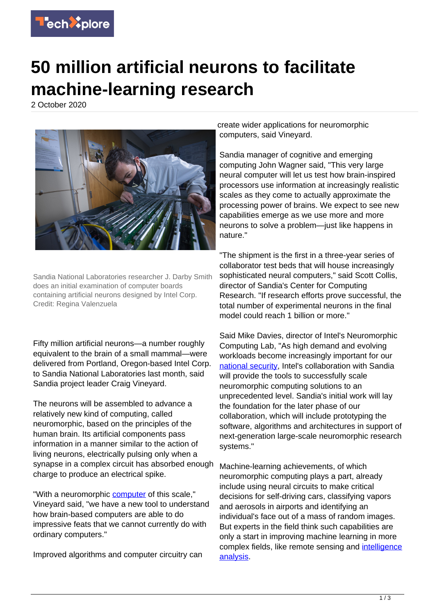

## **50 million artificial neurons to facilitate machine-learning research**

2 October 2020



Sandia National Laboratories researcher J. Darby Smith does an initial examination of computer boards containing artificial neurons designed by Intel Corp. Credit: Regina Valenzuela

Fifty million artificial neurons—a number roughly equivalent to the brain of a small mammal—were delivered from Portland, Oregon-based Intel Corp. to Sandia National Laboratories last month, said Sandia project leader Craig Vineyard.

The neurons will be assembled to advance a relatively new kind of computing, called neuromorphic, based on the principles of the human brain. Its artificial components pass information in a manner similar to the action of living neurons, electrically pulsing only when a synapse in a complex circuit has absorbed enough charge to produce an electrical spike.

"With a neuromorphic [computer](https://techxplore.com/tags/computer/) of this scale." Vineyard said, "we have a new tool to understand how brain-based computers are able to do impressive feats that we cannot currently do with ordinary computers."

Improved algorithms and computer circuitry can

create wider applications for neuromorphic computers, said Vineyard.

Sandia manager of cognitive and emerging computing John Wagner said, "This very large neural computer will let us test how brain-inspired processors use information at increasingly realistic scales as they come to actually approximate the processing power of brains. We expect to see new capabilities emerge as we use more and more neurons to solve a problem—just like happens in nature."

"The shipment is the first in a three-year series of collaborator test beds that will house increasingly sophisticated neural computers," said Scott Collis, director of Sandia's Center for Computing Research. "If research efforts prove successful, the total number of experimental neurons in the final model could reach 1 billion or more."

Said Mike Davies, director of Intel's Neuromorphic Computing Lab, "As high demand and evolving workloads become increasingly important for our [national security,](https://techxplore.com/tags/national+security/) Intel's collaboration with Sandia will provide the tools to successfully scale neuromorphic computing solutions to an unprecedented level. Sandia's initial work will lay the foundation for the later phase of our collaboration, which will include prototyping the software, algorithms and architectures in support of next-generation large-scale neuromorphic research systems."

Machine-learning achievements, of which neuromorphic computing plays a part, already include using neural circuits to make critical decisions for self-driving cars, classifying vapors and aerosols in airports and identifying an individual's face out of a mass of random images. But experts in the field think such capabilities are only a start in improving machine learning in more complex fields, like remote sensing and [intelligence](https://techxplore.com/tags/intelligence+analysis/) [analysis](https://techxplore.com/tags/intelligence+analysis/).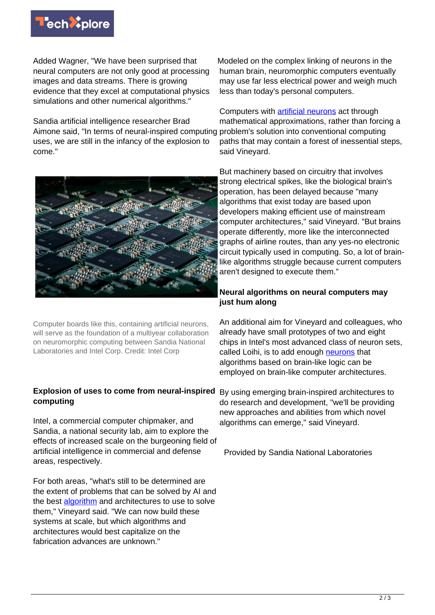

Added Wagner, "We have been surprised that neural computers are not only good at processing images and data streams. There is growing evidence that they excel at computational physics simulations and other numerical algorithms."

Sandia artificial intelligence researcher Brad Aimone said, "In terms of neural-inspired computing uses, we are still in the infancy of the explosion to come."



Computers with [artificial neurons](https://techxplore.com/tags/artificial+neurons/) act through mathematical approximations, rather than forcing a problem's solution into conventional computing paths that may contain a forest of inessential steps, said Vineyard.



Computer boards like this, containing artificial neurons, will serve as the foundation of a multiyear collaboration on neuromorphic computing between Sandia National Laboratories and Intel Corp. Credit: Intel Corp

## **Explosion of uses to come from neural-inspired computing**

Intel, a commercial computer chipmaker, and Sandia, a national security lab, aim to explore the effects of increased scale on the burgeoning field of artificial intelligence in commercial and defense areas, respectively.

For both areas, "what's still to be determined are the extent of problems that can be solved by AI and the best [algorithm](https://techxplore.com/tags/algorithm/) and architectures to use to solve them," Vineyard said. "We can now build these systems at scale, but which algorithms and architectures would best capitalize on the fabrication advances are unknown."

But machinery based on circuitry that involves strong electrical spikes, like the biological brain's operation, has been delayed because "many algorithms that exist today are based upon developers making efficient use of mainstream computer architectures," said Vineyard. "But brains operate differently, more like the interconnected graphs of airline routes, than any yes-no electronic circuit typically used in computing. So, a lot of brainlike algorithms struggle because current computers aren't designed to execute them."

## **Neural algorithms on neural computers may just hum along**

An additional aim for Vineyard and colleagues, who already have small prototypes of two and eight chips in Intel's most advanced class of neuron sets, called Loihi, is to add enough [neurons](https://techxplore.com/tags/neurons/) that algorithms based on brain-like logic can be employed on brain-like computer architectures.

By using emerging brain-inspired architectures to do research and development, "we'll be providing new approaches and abilities from which novel algorithms can emerge," said Vineyard.

Provided by Sandia National Laboratories